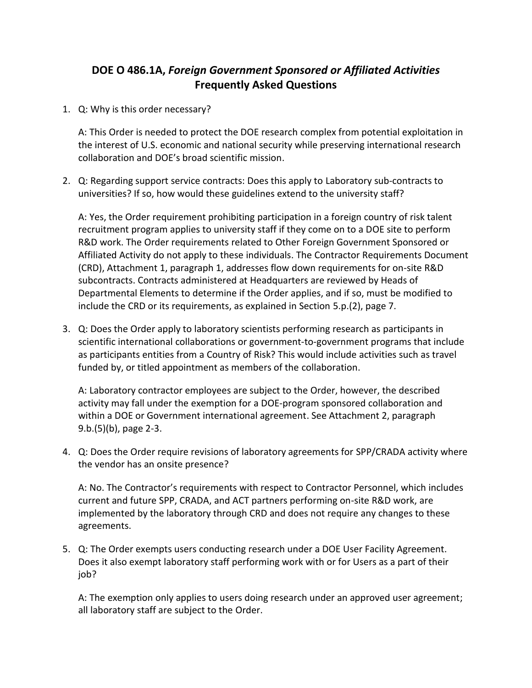## **DOE O 486.1A,** *Foreign Government Sponsored or Affiliated Activities* **Frequently Asked Questions**

1. Q: Why is this order necessary?

A: This Order is needed to protect the DOE research complex from potential exploitation in the interest of U.S. economic and national security while preserving international research collaboration and DOE's broad scientific mission.

2. Q: Regarding support service contracts: Does this apply to Laboratory sub-contracts to universities? If so, how would these guidelines extend to the university staff?

A: Yes, the Order requirement prohibiting participation in a foreign country of risk talent recruitment program applies to university staff if they come on to a DOE site to perform R&D work. The Order requirements related to Other Foreign Government Sponsored or Affiliated Activity do not apply to these individuals. The Contractor Requirements Document (CRD), Attachment 1, paragraph 1, addresses flow down requirements for on-site R&D subcontracts. Contracts administered at Headquarters are reviewed by Heads of Departmental Elements to determine if the Order applies, and if so, must be modified to include the CRD or its requirements, as explained in Section 5.p.(2), page 7.

3. Q: Does the Order apply to laboratory scientists performing research as participants in scientific international collaborations or government-to-government programs that include as participants entities from a Country of Risk? This would include activities such as travel funded by, or titled appointment as members of the collaboration.

A: Laboratory contractor employees are subject to the Order, however, the described activity may fall under the exemption for a DOE-program sponsored collaboration and within a DOE or Government international agreement. See Attachment 2, paragraph 9.b.(5)(b), page 2-3.

4. Q: Does the Order require revisions of laboratory agreements for SPP/CRADA activity where the vendor has an onsite presence?

A: No. The Contractor's requirements with respect to Contractor Personnel, which includes current and future SPP, CRADA, and ACT partners performing on-site R&D work, are implemented by the laboratory through CRD and does not require any changes to these agreements.

5. Q: The Order exempts users conducting research under a DOE User Facility Agreement. Does it also exempt laboratory staff performing work with or for Users as a part of their job?

A: The exemption only applies to users doing research under an approved user agreement; all laboratory staff are subject to the Order.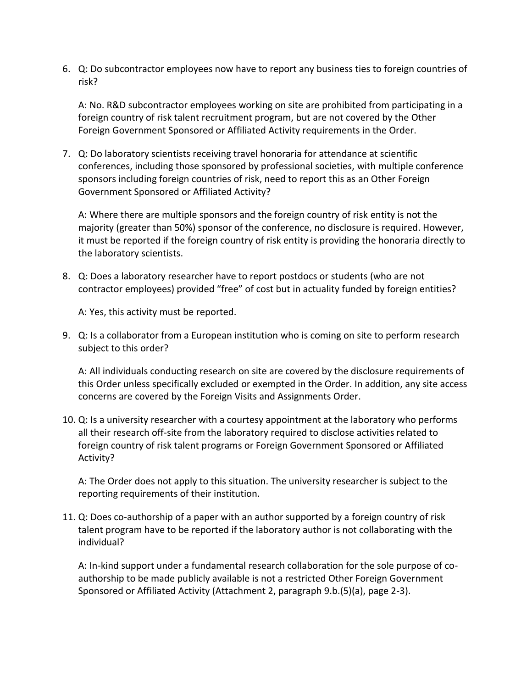6. Q: Do subcontractor employees now have to report any business ties to foreign countries of risk?

A: No. R&D subcontractor employees working on site are prohibited from participating in a foreign country of risk talent recruitment program, but are not covered by the Other Foreign Government Sponsored or Affiliated Activity requirements in the Order.

7. Q: Do laboratory scientists receiving travel honoraria for attendance at scientific conferences, including those sponsored by professional societies, with multiple conference sponsors including foreign countries of risk, need to report this as an Other Foreign Government Sponsored or Affiliated Activity?

A: Where there are multiple sponsors and the foreign country of risk entity is not the majority (greater than 50%) sponsor of the conference, no disclosure is required. However, it must be reported if the foreign country of risk entity is providing the honoraria directly to the laboratory scientists.

8. Q: Does a laboratory researcher have to report postdocs or students (who are not contractor employees) provided "free" of cost but in actuality funded by foreign entities?

A: Yes, this activity must be reported.

9. Q: Is a collaborator from a European institution who is coming on site to perform research subject to this order?

A: All individuals conducting research on site are covered by the disclosure requirements of this Order unless specifically excluded or exempted in the Order. In addition, any site access concerns are covered by the Foreign Visits and Assignments Order.

10. Q: Is a university researcher with a courtesy appointment at the laboratory who performs all their research off-site from the laboratory required to disclose activities related to foreign country of risk talent programs or Foreign Government Sponsored or Affiliated Activity?

A: The Order does not apply to this situation. The university researcher is subject to the reporting requirements of their institution.

11. Q: Does co-authorship of a paper with an author supported by a foreign country of risk talent program have to be reported if the laboratory author is not collaborating with the individual?

A: In-kind support under a fundamental research collaboration for the sole purpose of coauthorship to be made publicly available is not a restricted Other Foreign Government Sponsored or Affiliated Activity (Attachment 2, paragraph 9.b.(5)(a), page 2-3).